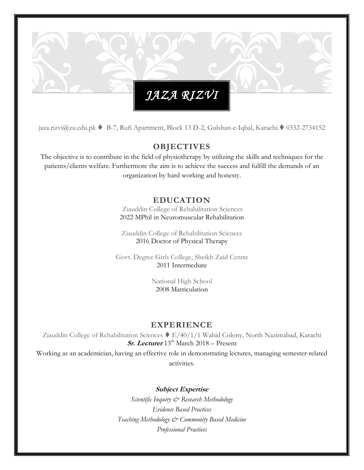jaza.rizvi@zu.edu.pk ♦ B-7, Rufi Apartment, Block 13 D-2, Gulshan-e-Iqbal, Karachi.◆ 0332-2734152

#### **OBJECTIVES**

The objective is to contribute in the field of physiotherapy by utilizing the skills and techniques for the patients/clients welfare. Furthermore the aim is to achieve the success and fulfill the demands of an organization by hard working and honesty.

#### **EDUCATION**

Ziauddin College of Rehabilitation Sciences 2022 MPhil in Neuromuscular Rehabilitation

Ziauddin College of Rehabilitation Sciences 2016 Doctor of Physical Therapy

Govt. Degree Girls College, Sheikh Zaid Centre 2011 Intermediate

> National High School 2008 Matriculation

#### **EXPERIENCE**

Ziauddin College of Rehabilitation Sciences E/40/1/1 Wahid Colony, North Nazimabad, Karachi **Sr. Lecturer** 13<sup>th</sup> March 2018 – Present

Working as an academician, having an effective role in demonstrating lectures, managing semester-related activities.

**Subject Expertise**

*Scientific Inquiry & Research Methodology Evidence Based Practices Teaching Methodology & Community Based Medicine Professional Practices*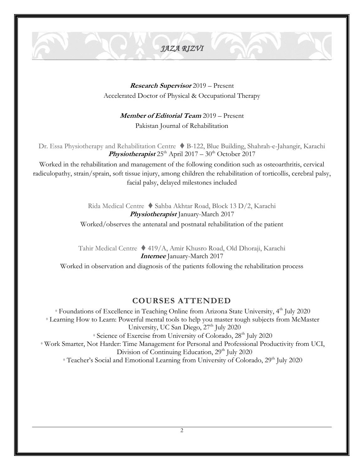**Research Supervisor** 2019 – Present Accelerated Doctor of Physical & Occupational Therapy

**Member of Editorial Team** 2019 – Present

Pakistan Journal of Rehabilitation

Dr. Essa Physiotherapy and Rehabilitation Centre ♦ B-122, Blue Building, Shahrah-e-Jahangir, Karachi **Physiotherapist**  $25^{th}$  April  $2017 - 30^{th}$  October 2017

Worked in the rehabilitation and management of the following condition such as osteoarthritis, cervical radiculopathy, strain/sprain, soft tissue injury, among children the rehabilitation of torticollis, cerebral palsy, facial palsy, delayed milestones included

> Rida Medical Centre Sahba Akhtar Road, Block 13 D/2, Karachi **Physiotherapist** January-March 2017 Worked/observes the antenatal and postnatal rehabilitation of the patient

Tahir Medical Centre 419/A, Amir Khusro Road, Old Dhoraji, Karachi **Internee** January-March 2017

Worked in observation and diagnosis of the patients following the rehabilitation process

#### **COURSES ATTENDED**

 Foundations of Excellence in Teaching Online from Arizona State University, 4th July 2020 Learning How to Learn: Powerful mental tools to help you master tough subjects from McMaster University, UC San Diego, 27<sup>th</sup> July 2020  $\degree$  Science of Exercise from University of Colorado, 28<sup>th</sup> July 2020 Work Smarter, Not Harder: Time Management for Personal and Professional Productivity from UCI, Division of Continuing Education, 29<sup>th</sup> July 2020

<sup>\*</sup> Teacher's Social and Emotional Learning from University of Colorado, 29<sup>th</sup> July 2020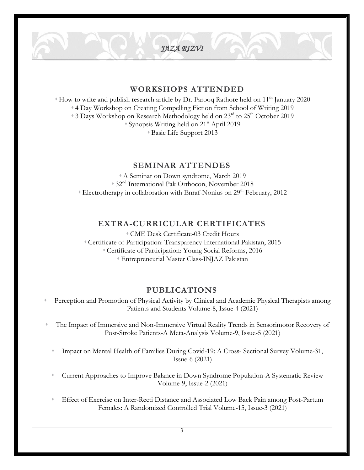#### **WORKSHOPS ATTENDED**

 $\bullet$  How to write and publish research article by Dr. Farooq Rathore held on 11<sup>th</sup> January 2020 4 Day Workshop on Creating Compelling Fiction from School of Writing 2019 \* 3 Days Workshop on Research Methodology held on 23<sup>rd</sup> to 25<sup>th</sup> October 2019  $\blacklozenge$  Synopsis Writing held on 21<sup>st</sup> April 2019 Basic Life Support 2013

#### **SEMINAR ATTENDES**

A Seminar on Down syndrome, March 2019 32nd International Pak Orthocon, November 2018  $*$  Electrotherapy in collaboration with Enraf-Nonius on 29<sup>th</sup> February, 2012

#### **EXTRA-CURRICULAR CERTIFICATES**

CME Desk Certificate-03 Credit Hours Certificate of Participation: Transparency International Pakistan, 2015 Certificate of Participation: Young Social Reforms, 2016 Entrepreneurial Master Class-INJAZ Pakistan

#### **PUBLICATIONS**

- Perception and Promotion of Physical Activity by Clinical and Academic Physical Therapists among Patients and Students Volume-8, Issue-4 (2021)
- The Impact of Immersive and Non-Immersive Virtual Reality Trends in Sensorimotor Recovery of Post-Stroke Patients-A Meta-Analysis Volume-9, Issue-5 (2021)
	- Impact on Mental Health of Families During Covid-19: A Cross- Sectional Survey Volume-31, Issue-6 (2021)
	- Current Approaches to Improve Balance in Down Syndrome Population-A Systematic Review Volume-9, Issue-2 (2021)
	- Effect of Exercise on Inter-Recti Distance and Associated Low Back Pain among Post-Partum Females: A Randomized Controlled Trial Volume-15, Issue-3 (2021)